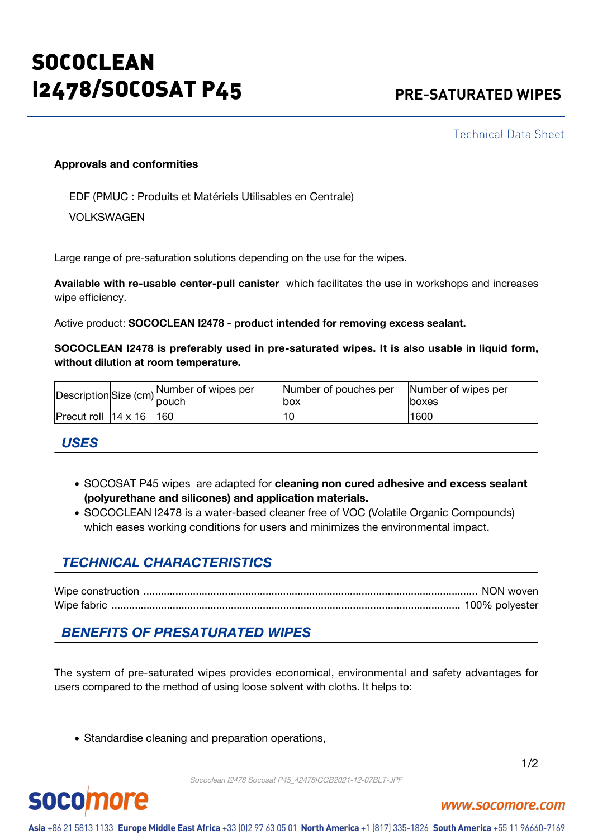# **SOCOCLEAN** I2478/SOCOSAT P45 **PRE-SATURATED WIPES**

Technical Data Sheet

#### **Approvals and conformities**

EDF (PMUC : Produits et Matériels Utilisables en Centrale)

VOLKSWAGEN

Large range of pre-saturation solutions depending on the use for the wipes.

**Available with re-usable center-pull canister** which facilitates the use in workshops and increases wipe efficiency.

Active product: **SOCOCLEAN I2478 - product intended for removing excess sealant.**

**SOCOCLEAN I2478 is preferably used in pre-saturated wipes. It is also usable in liquid form, without dilution at room temperature.**

|                                  |  | Size (cm) Number of wipes per<br>pouch | Number of pouches per | Number of wipes per |
|----------------------------------|--|----------------------------------------|-----------------------|---------------------|
|                                  |  |                                        | lbox                  | <b>Iboxes</b>       |
| $Precut$ roll $14 \times 16$ 160 |  |                                        |                       | 1600                |

#### *USES*

- SOCOSAT P45 wipes are adapted for **cleaning non cured adhesive and excess sealant (polyurethane and silicones) and application materials.**
- SOCOCLEAN I2478 is a water-based cleaner free of VOC (Volatile Organic Compounds) which eases working conditions for users and minimizes the environmental impact.

## *TECHNICAL CHARACTERISTICS*

|             | NON wover      |
|-------------|----------------|
| Wine fabric | 100% polvester |

## *BENEFITS OF PRESATURATED WIPES*

The system of pre-saturated wipes provides economical, environmental and safety advantages for users compared to the method of using loose solvent with cloths. It helps to:

• Standardise cleaning and preparation operations,



www.socomore.com

Sococlean I2478 Socosat P45\_42478IGGB2021-12-07BLT-JPF